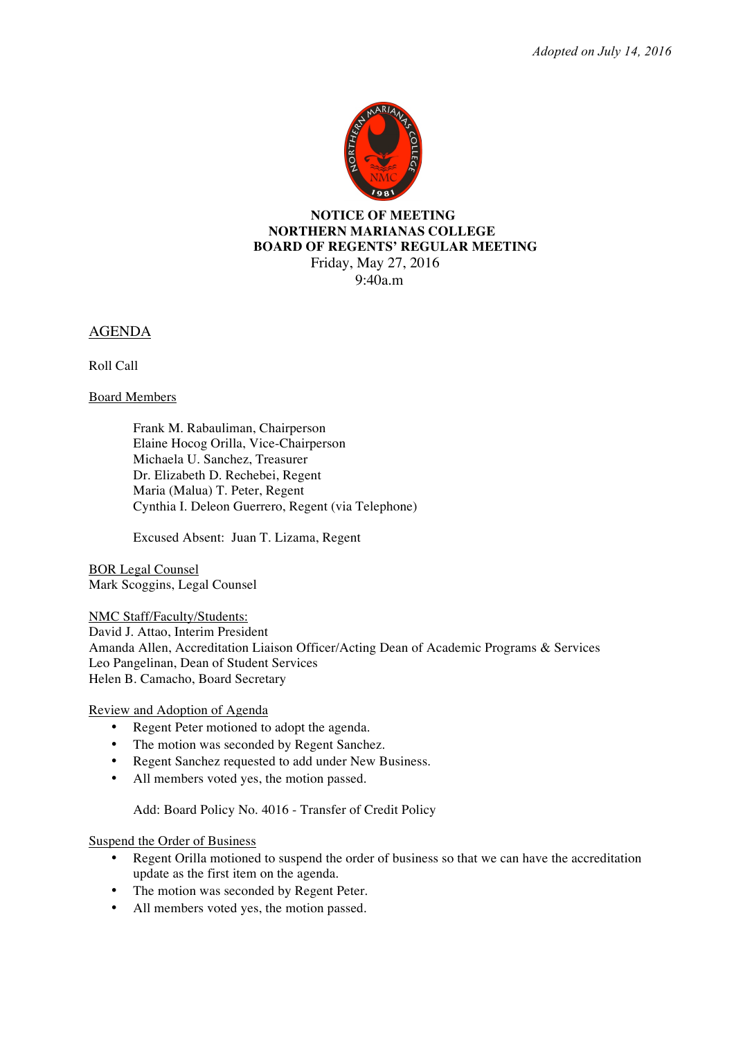*Adopted on July 14, 2016*



#### **NOTICE OF MEETING NORTHERN MARIANAS COLLEGE BOARD OF REGENTS' REGULAR MEETING** Friday, May 27, 2016

 $9.40a$  m

AGENDA

Roll Call

Board Members

Frank M. Rabauliman, Chairperson Elaine Hocog Orilla, Vice-Chairperson Michaela U. Sanchez, Treasurer Dr. Elizabeth D. Rechebei, Regent Maria (Malua) T. Peter, Regent Cynthia I. Deleon Guerrero, Regent (via Telephone)

Excused Absent: Juan T. Lizama, Regent

BOR Legal Counsel Mark Scoggins, Legal Counsel

NMC Staff/Faculty/Students:

David J. Attao, Interim President

Amanda Allen, Accreditation Liaison Officer/Acting Dean of Academic Programs & Services Leo Pangelinan, Dean of Student Services Helen B. Camacho, Board Secretary

Review and Adoption of Agenda

- Regent Peter motioned to adopt the agenda.
- The motion was seconded by Regent Sanchez.
- Regent Sanchez requested to add under New Business.
- All members voted yes, the motion passed.

Add: Board Policy No. 4016 - Transfer of Credit Policy

Suspend the Order of Business

- Regent Orilla motioned to suspend the order of business so that we can have the accreditation update as the first item on the agenda.
- The motion was seconded by Regent Peter.
- All members voted yes, the motion passed.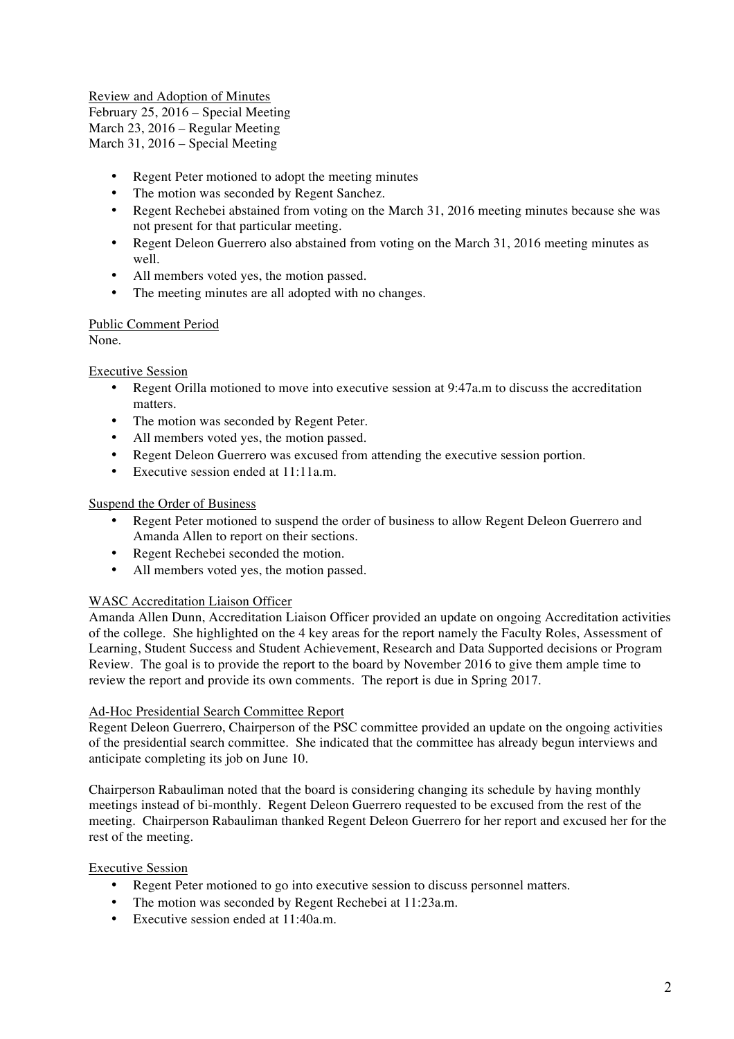Review and Adoption of Minutes February 25, 2016 – Special Meeting March 23, 2016 – Regular Meeting March 31, 2016 – Special Meeting

- Regent Peter motioned to adopt the meeting minutes
- The motion was seconded by Regent Sanchez.
- Regent Rechebei abstained from voting on the March 31, 2016 meeting minutes because she was not present for that particular meeting.
- Regent Deleon Guerrero also abstained from voting on the March 31, 2016 meeting minutes as well.
- All members voted yes, the motion passed.
- The meeting minutes are all adopted with no changes.

## Public Comment Period

None.

## Executive Session

- Regent Orilla motioned to move into executive session at 9:47a.m to discuss the accreditation matters.
- The motion was seconded by Regent Peter.
- All members voted yes, the motion passed.
- Regent Deleon Guerrero was excused from attending the executive session portion.
- Executive session ended at 11:11a.m.

## Suspend the Order of Business

- Regent Peter motioned to suspend the order of business to allow Regent Deleon Guerrero and Amanda Allen to report on their sections.
- Regent Rechebei seconded the motion.
- All members voted yes, the motion passed.

## WASC Accreditation Liaison Officer

Amanda Allen Dunn, Accreditation Liaison Officer provided an update on ongoing Accreditation activities of the college. She highlighted on the 4 key areas for the report namely the Faculty Roles, Assessment of Learning, Student Success and Student Achievement, Research and Data Supported decisions or Program Review. The goal is to provide the report to the board by November 2016 to give them ample time to review the report and provide its own comments. The report is due in Spring 2017.

#### Ad-Hoc Presidential Search Committee Report

Regent Deleon Guerrero, Chairperson of the PSC committee provided an update on the ongoing activities of the presidential search committee. She indicated that the committee has already begun interviews and anticipate completing its job on June 10.

Chairperson Rabauliman noted that the board is considering changing its schedule by having monthly meetings instead of bi-monthly. Regent Deleon Guerrero requested to be excused from the rest of the meeting. Chairperson Rabauliman thanked Regent Deleon Guerrero for her report and excused her for the rest of the meeting.

#### Executive Session

- Regent Peter motioned to go into executive session to discuss personnel matters.
- The motion was seconded by Regent Rechebei at 11:23a.m.
- Executive session ended at 11:40a.m.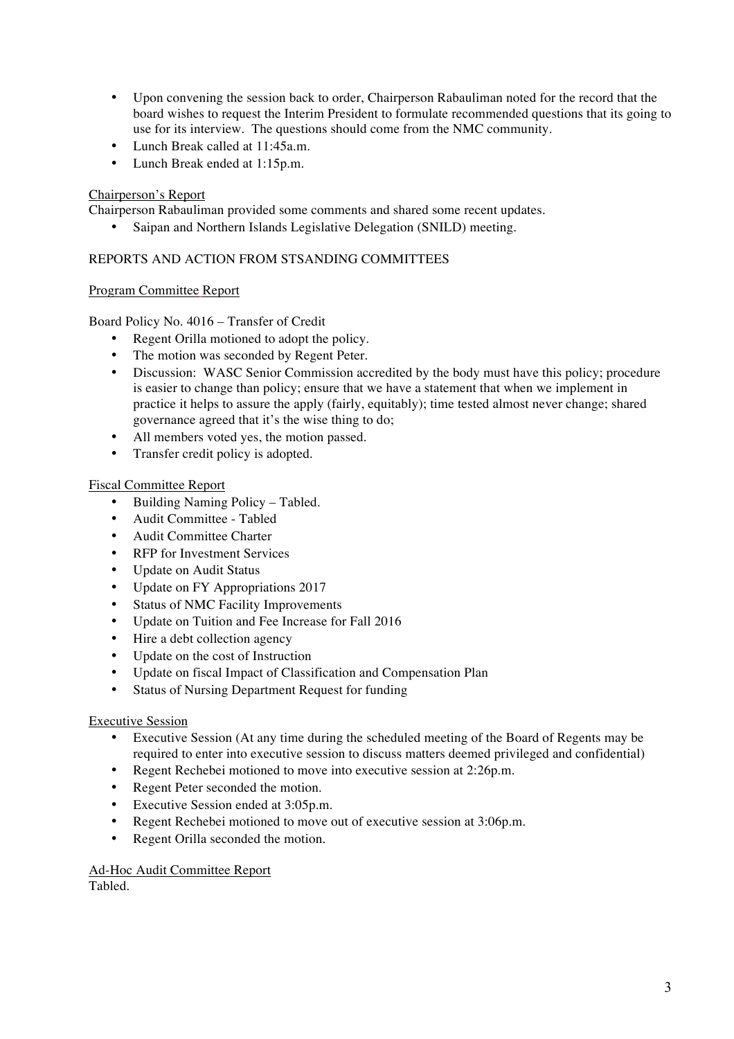- Upon convening the session back to order, Chairperson Rabauliman noted for the record that the board wishes to request the Interim President to formulate recommended questions that its going to use for its interview. The questions should come from the NMC community.
- Lunch Break called at 11:45a.m.
- Lunch Break ended at 1:15p.m.

## Chairperson's Report

Chairperson Rabauliman provided some comments and shared some recent updates.

• Saipan and Northern Islands Legislative Delegation (SNILD) meeting.

### REPORTS AND ACTION FROM STSANDING COMMITTEES

## Program Committee Report

## Board Policy No. 4016 – Transfer of Credit

- Regent Orilla motioned to adopt the policy.
- The motion was seconded by Regent Peter.
- Discussion: WASC Senior Commission accredited by the body must have this policy; procedure is easier to change than policy; ensure that we have a statement that when we implement in practice it helps to assure the apply (fairly, equitably); time tested almost never change; shared governance agreed that it's the wise thing to do;
- All members voted yes, the motion passed.
- Transfer credit policy is adopted.

## Fiscal Committee Report

- Building Naming Policy Tabled.
- Audit Committee Tabled
- Audit Committee Charter
- RFP for Investment Services
- Update on Audit Status
- Update on FY Appropriations 2017
- Status of NMC Facility Improvements
- Update on Tuition and Fee Increase for Fall 2016
- Hire a debt collection agency
- Update on the cost of Instruction
- Update on fiscal Impact of Classification and Compensation Plan
- Status of Nursing Department Request for funding

#### Executive Session

- Executive Session (At any time during the scheduled meeting of the Board of Regents may be required to enter into executive session to discuss matters deemed privileged and confidential)
- Regent Rechebei motioned to move into executive session at 2:26p.m.
- Regent Peter seconded the motion.
- Executive Session ended at 3:05p.m.
- Regent Rechebei motioned to move out of executive session at 3:06p.m.
- Regent Orilla seconded the motion.

#### Ad-Hoc Audit Committee Report Tabled.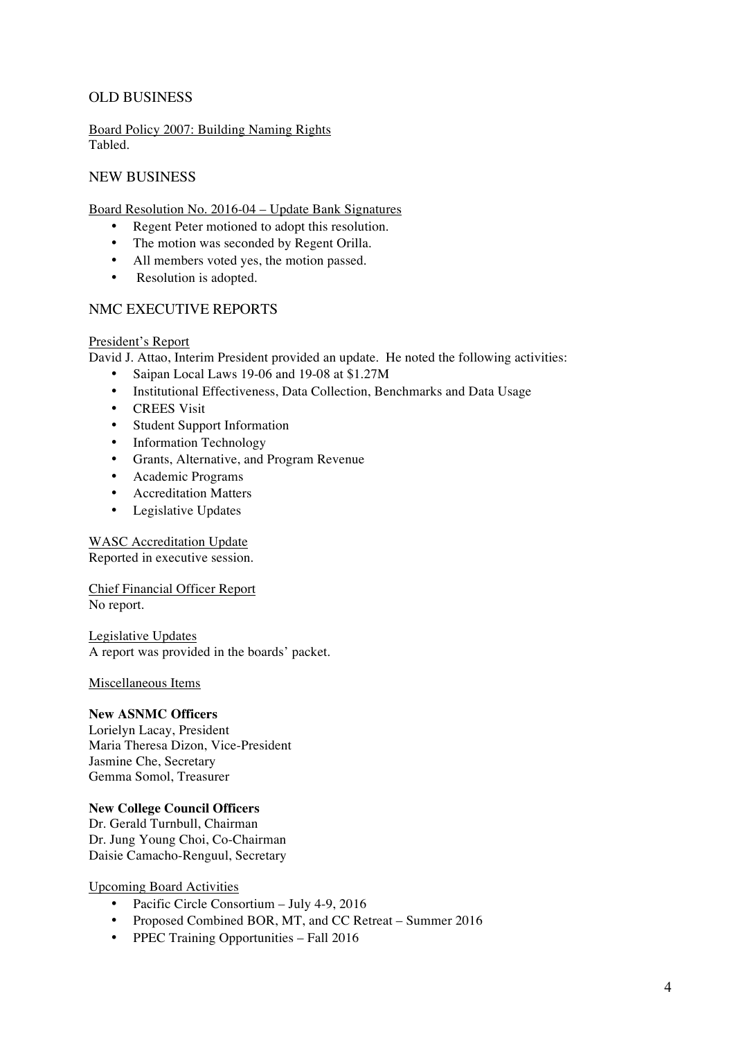# OLD BUSINESS

Board Policy 2007: Building Naming Rights Tabled.

## NEW BUSINESS

Board Resolution No. 2016-04 – Update Bank Signatures

- Regent Peter motioned to adopt this resolution.
- The motion was seconded by Regent Orilla.
- All members voted yes, the motion passed.
- Resolution is adopted.

## NMC EXECUTIVE REPORTS

#### President's Report

David J. Attao, Interim President provided an update. He noted the following activities:

- Saipan Local Laws 19-06 and 19-08 at \$1.27M
- Institutional Effectiveness, Data Collection, Benchmarks and Data Usage
- CREES Visit
- Student Support Information
- Information Technology
- Grants, Alternative, and Program Revenue
- Academic Programs
- Accreditation Matters
- Legislative Updates

## WASC Accreditation Update

Reported in executive session.

Chief Financial Officer Report No report.

Legislative Updates A report was provided in the boards' packet.

#### Miscellaneous Items

#### **New ASNMC Officers**

Lorielyn Lacay, President Maria Theresa Dizon, Vice-President Jasmine Che, Secretary Gemma Somol, Treasurer

#### **New College Council Officers**

Dr. Gerald Turnbull, Chairman Dr. Jung Young Choi, Co-Chairman Daisie Camacho-Renguul, Secretary

Upcoming Board Activities

- Pacific Circle Consortium July 4-9, 2016
- Proposed Combined BOR, MT, and CC Retreat Summer 2016
- PPEC Training Opportunities Fall 2016